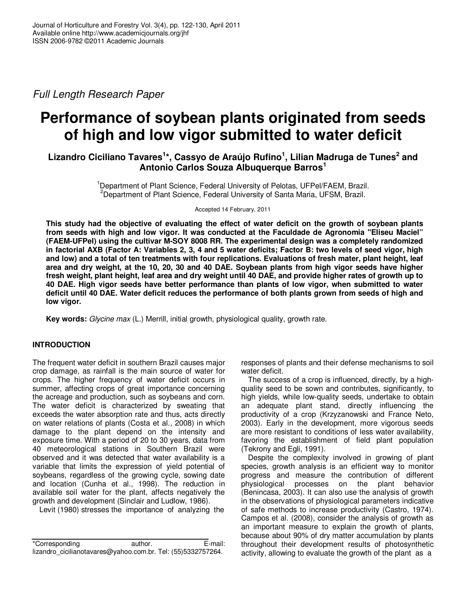Full Length Research Paper

# **Performance of soybean plants originated from seeds of high and low vigor submitted to water deficit**

**Lizandro Ciciliano Tavares<sup>1</sup> \*, Cassyo de Araújo Rufino<sup>1</sup> , Lilian Madruga de Tunes<sup>2</sup> and Antonio Carlos Souza Albuquerque Barros<sup>1</sup>**

> <sup>1</sup>Department of Plant Science, Federal University of Pelotas, UFPel/FAEM, Brazil. <sup>2</sup>Department of Plant Science, Federal University of Santa Maria, UFSM, Brazil.

> > Accepted 14 February, 2011

**This study had the objective of evaluating the effect of water deficit on the growth of soybean plants from seeds with high and low vigor. It was conducted at the Faculdade de Agronomia "Eliseu Maciel" (FAEM-UFPel) using the cultivar M-SOY 8008 RR. The experimental design was a completely randomized in factorial AXB (Factor A: Variables 2, 3, 4 and 5 water deficits; Factor B: two levels of seed vigor, high and low) and a total of ten treatments with four replications. Evaluations of fresh mater, plant height, leaf area and dry weight, at the 10, 20, 30 and 40 DAE. Soybean plants from high vigor seeds have higher fresh weight, plant height, leaf area and dry weight until 40 DAE, and provide higher rates of growth up to 40 DAE. High vigor seeds have better performance than plants of low vigor, when submitted to water deficit until 40 DAE. Water deficit reduces the performance of both plants grown from seeds of high and low vigor.** 

**Key words:** Glycine max (L.) Merrill, initial growth, physiological quality, growth rate.

## **INTRODUCTION**

The frequent water deficit in southern Brazil causes major crop damage, as rainfall is the main source of water for crops. The higher frequency of water deficit occurs in summer, affecting crops of great importance concerning the acreage and production, such as soybeans and corn. The water deficit is characterized by sweating that exceeds the water absorption rate and thus, acts directly on water relations of plants (Costa et al., 2008) in which damage to the plant depend on the intensity and exposure time. With a period of 20 to 30 years, data from 40 meteorological stations in Southern Brazil were observed and it was detected that water availability is a variable that limits the expression of yield potential of soybeans, regardless of the growing cycle, sowing date and location (Cunha et al., 1998). The reduction in available soil water for the plant, affects negatively the growth and development (Sinclair and Ludlow, 1986).

Levit (1980) stresses the importance of analyzing the

responses of plants and their defense mechanisms to soil water deficit.

The success of a crop is influenced, directly, by a highquality seed to be sown and contributes, significantly, to high yields, while low-quality seeds, undertake to obtain an adequate plant stand, directly influencing the productivity of a crop (Krzyzanowski and France Neto, 2003). Early in the development, more vigorous seeds are more resistant to conditions of less water availability, favoring the establishment of field plant population (Tekrony and Egli, 1991).

Despite the complexity involved in growing of plant species, growth analysis is an efficient way to monitor progress and measure the contribution of different physiological processes on the plant behavior (Benincasa, 2003). It can also use the analysis of growth in the observations of physiological parameters indicative of safe methods to increase productivity (Castro, 1974). Campos et al. (2008), consider the analysis of growth as an important measure to explain the growth of plants, because about 90% of dry matter accumulation by plants throughout their development results of photosynthetic activity, allowing to evaluate the growth of the plant as a

<sup>\*</sup>Corresponding author. E-mail: lizandro\_cicilianotavares@yahoo.com.br. Tel: (55)5332757264.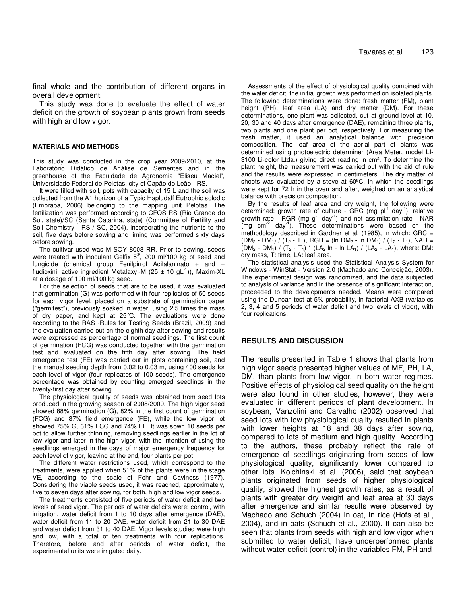final whole and the contribution of different organs in overall development.

This study was done to evaluate the effect of water deficit on the growth of soybean plants grown from seeds with high and low vigor.

#### **MATERIALS AND METHODS**

This study was conducted in the crop year 2009/2010, at the Laboratório Didático de Análise de Sementes and in the greenhouse of the Faculdade de Agronomia "Eliseu Maciel", Universidade Federal de Pelotas, city of Capão do Leão - RS.

It were filled with soil, pots with capacity of 15 L and the soil was collected from the A1 horizon of a Typic Hapludalf Eutrophic solodic (Embrapa, 2006) belonging to the mapping unit Pelotas. The fertilization was performed according to CFQS RS (Rio Grande do Sul, state)/SC (Santa Catarina, state) (Committee of Fertility and Soil Chemistry - RS / SC, 2004), incorporating the nutrients to the soil, five days before sowing and liming was performed sixty days before sowing.

The cultivar used was M-SOY 8008 RR. Prior to sowing, seeds were treated with inoculant Gelfix 5<sup>®</sup>, 200 ml/100 kg of seed and fungicide (chemical group Fenilpirrol Acilalaninato + and + fludioxinil active ingredient Metalaxyl-M (25  $\pm$  10 gL<sup>-1</sup>)), Maxim-XL at a dosage of 100 ml/100 kg seed.

For the selection of seeds that are to be used, it was evaluated that germination (G) was performed with four replicates of 50 seeds for each vigor level, placed on a substrate of germination paper ("germitest"), previously soaked in water, using 2.5 times the mass of dry paper, and kept at 25°C. The evaluations were done according to the RAS -Rules for Testing Seeds (Brazil, 2009) and the evaluation carried out on the eighth day after sowing and results were expressed as percentage of normal seedlings. The first count of germination (FCG) was conducted together with the germination test and evaluated on the fifth day after sowing. The field emergence test (FE) was carried out in plots containing soil, and the manual seeding depth from 0.02 to 0.03 m, using 400 seeds for each level of vigor (four replicates of 100 seeds). The emergence percentage was obtained by counting emerged seedlings in the twenty-first day after sowing.

The physiological quality of seeds was obtained from seed lots produced in the growing season of 2008/2009. The high vigor seed showed 88% germination (G), 82% in the first count of germination (FCG) and 87% field emergence (FE), while the low vigor lot showed 75% G, 61% FCG and 74% FE. It was sown 10 seeds per pot to allow further thinning, removing seedlings earlier in the lot of low vigor and later in the high vigor, with the intention of using the seedlings emerged in the days of major emergency frequency for each level of vigor, leaving at the end, four plants per pot.

The different water restrictions used, which correspond to the treatments, were applied when 51% of the plants were in the stage VE, according to the scale of Fehr and Caviness (1977). Considering the viable seeds used, it was reached, approximately, five to seven days after sowing, for both, high and low vigor seeds.

The treatments consisted of five periods of water deficit and two levels of seed vigor. The periods of water deficits were: control, with irrigation, water deficit from 1 to 10 days after emergence (DAE), water deficit from 11 to 20 DAE, water deficit from 21 to 30 DAE and water deficit from 31 to 40 DAE. Vigor levels studied were high and low, with a total of ten treatments with four replications. Therefore, before and after periods of water deficit, the experimental units were irrigated daily.

Assessments of the effect of physiological quality combined with the water deficit, the initial growth was performed on isolated plants. The following determinations were done: fresh matter (FM), plant height (PH), leaf area (LA) and dry matter (DM). For these determinations, one plant was collected, cut at ground level at 10, 20, 30 and 40 days after emergence (DAE), remaining three plants, two plants and one plant per pot, respectively. For measuring the fresh matter, it used an analytical balance with precision composition. The leaf area of the aerial part of plants was determined using photoelectric determiner (Area Meter, model LI-3100 Li-color Ltda.) giving direct reading in cm². To determine the plant height, the measurement was carried out with the aid of rule and the results were expressed in centimeters. The dry matter of shoots was evaluated by a stove at 60ºC, in which the seedlings were kept for 72 h in the oven and after, weighed on an analytical balance with precision composition.

By the results of leaf area and dry weight, the following were determined: growth rate of culture - GRC (mg  $pi^{-1}$  day<sup>-1</sup>), relative growth rate -  $RGR$  (mg  $g^{-1}$  day<sup>-1</sup>) and net assimilation rate - NAR  $\text{mq cm}^{-2}$  day<sup>-1</sup>). These determinations were based on the methodology described in Gardner et al. (1985), in which: GRC =  $(DM_2 - DM_1) / (T_2 - T_1)$ , RGR = (ln DM<sub>2</sub> - ln DM<sub>1</sub>) / (T<sub>2</sub> - T<sub>1</sub>), NAR =  $(DM_2 - DM_1) / (T_2 - T_1) * (LA_2 \ln - \ln LA_1) / (LA_2 - LA_1)$ , where: DM: dry mass, T: time, LA: leaf area.

The statistical analysis used the Statistical Analysis System for Windows - WinStat - Version 2.0 (Machado and Conceição, 2003). The experimental design was randomized, and the data subjected to analysis of variance and in the presence of significant interaction, proceeded to the developments needed. Means were compared using the Duncan test at 5% probability, in factorial AXB (variables 2, 3, 4 and 5 periods of water deficit and two levels of vigor), with four replications.

#### **RESULTS AND DISCUSSION**

The results presented in Table 1 shows that plants from high vigor seeds presented higher values of MF, PH, LA, DM, than plants from low vigor, in both water regimes. Positive effects of physiological seed quality on the height were also found in other studies; however, they were evaluated in different periods of plant development. In soybean, Vanzolini and Carvalho (2002) observed that seed lots with low physiological quality resulted in plants with lower heights at 18 and 38 days after sowing, compared to lots of medium and high quality. According to the authors, these probably reflect the rate of emergence of seedlings originating from seeds of low physiological quality, significantly lower compared to other lots. Kolchinski et al. (2006), said that soybean plants originated from seeds of higher physiological quality, showed the highest growth rates, as a result of plants with greater dry weight and leaf area at 30 days after emergence and similar results were observed by Machado and Schuch (2004) in oat, in rice (Hofs et al., 2004), and in oats (Schuch et al., 2000). It can also be seen that plants from seeds with high and low vigor when submitted to water deficit, have underperformed plants without water deficit (control) in the variables FM, PH and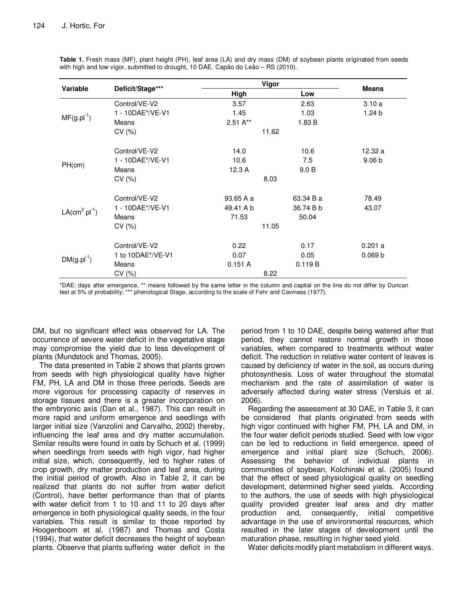|                 | Deficit/Stage***  |           | Vigor     |                   |
|-----------------|-------------------|-----------|-----------|-------------------|
| <b>Variable</b> |                   | High      | Low       | <b>Means</b>      |
|                 | Control/VE-V2     | 3.57      | 2.63      | 3.10a             |
| $MF(g.pl^{-1})$ | 1 - 10DAE*/VE-V1  | 1.45      | 1.03      | 1.24 b            |
|                 | Means             | $2.51A**$ | 1.83 B    |                   |
|                 | CV (%)            | 11.62     |           |                   |
|                 | Control/VE-V2     | 14.0      | 10.6      | 12.32 a           |
|                 | 1 - 10DAE*/VE-V1  | 10.6      | 7.5       | 9.06 <sub>b</sub> |
| PH(cm)          | Means             | 12.3 A    | 9.0 B     |                   |
|                 | CV(%)             | 8.03      |           |                   |
| $LA(cm2 pl-1)$  | Control/VE-V2     | 93.65 A a | 63.34 B a | 78.49             |
|                 | 1 - 10DAE*/VE-V1  | 49.41 A b | 36.74 B b | 43.07             |
|                 | Means             | 71.53     | 50.04     |                   |
|                 | CV(%)             | 11.05     |           |                   |
| $DM(g.pl^{-1})$ | Control/VE-V2     | 0.22      | 0.17      | 0.201 a           |
|                 | 1 to 10DAE*/VE-V1 | 0.07      | 0.05      | 0.069 b           |
|                 | Means             | 0.151A    | 0.119B    |                   |
|                 | CV(%)             | 8.22      |           |                   |

**Table 1.** Fresh mass (MF), plant height (PH), leaf area (LA) and dry mass (DM) of soybean plants originated from seeds with high and low vigor, submitted to drought, 10 DAE. Capão do Leão – RS (2010).

\*DAE: days after emergence, \*\* means followed by the same letter in the column and capital on the line do not differ by Duncan test at 5% of probability; \*\*\* phenological Stage, according to the scale of Fehr and Caviness (1977).

DM, but no significant effect was observed for LA. The occurrence of severe water deficit in the vegetative stage may compromise the yield due to less development of plants (Mundstock and Thomas, 2005).

The data presented in Table 2 shows that plants grown from seeds with high physiological quality have higher FM, PH, LA and DM in those three periods. Seeds are more vigorous for processing capacity of reserves in storage tissues and there is a greater incorporation on the embryonic axis (Dan et al., 1987). This can result in more rapid and uniform emergence and seedlings with larger initial size (Vanzolini and Carvalho, 2002) thereby, influencing the leaf area and dry matter accumulation. Similar results were found in oats by Schuch et al. (1999) when seedlings from seeds with high vigor, had higher initial size, which, consequently, led to higher rates of crop growth, dry matter production and leaf area, during the initial period of growth. Also in Table 2, it can be realized that plants do not suffer from water deficit (Control), have better performance than that of plants with water deficit from 1 to 10 and 11 to 20 days after emergence in both physiological quality seeds, in the four variables. This result is similar to those reported by Hoogenboom et al. (1987) and Thomas and Costa (1994), that water deficit decreases the height of soybean plants. Observe that plants suffering water deficit in the

period from 1 to 10 DAE, despite being watered after that period, they cannot restore normal growth in those variables, when compared to treatments without water deficit. The reduction in relative water content of leaves is caused by deficiency of water in the soil, as occurs during photosynthesis. Loss of water throughout the stomatal mechanism and the rate of assimilation of water is adversely affected during water stress (Versluis et al. 2006).

Regarding the assessment at 30 DAE, in Table 3, it can be considered that plants originated from seeds with high vigor continued with higher FM, PH, LA and DM, in the four water deficit periods studied. Seed with low vigor can be led to reductions in field emergence, speed of emergence and initial plant size (Schuch, 2006). Assessing the behavior of individual plants in communities of soybean, Kolchinski et al. (2005) found that the effect of seed physiological quality on seedling development, determined higher seed yields. According to the authors, the use of seeds with high physiological quality provided greater leaf area and dry matter production and, consequently, initial competitive advantage in the use of environmental resources, which resulted in the later stages of development until the maturation phase, resulting in higher seed yield.

Water deficits modify plant metabolism in different ways.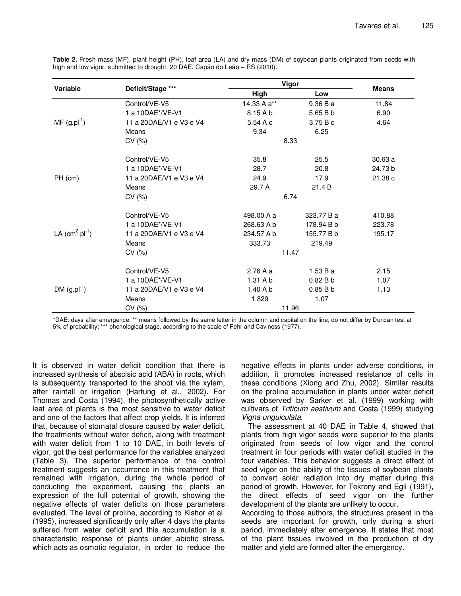|                  | Deficit/Stage ***       | Vigor       |            |              |
|------------------|-------------------------|-------------|------------|--------------|
| Variable         |                         | High        | Low        | <b>Means</b> |
|                  | Control/VE-V5           | 14.33 A a** | 9.36 Ba    | 11.84        |
| $MF(gh^{-1})$    | 1 a 10DAE*/VE-V1        | 8.15 A b    | 5.65 B b   | 6.90         |
|                  | 11 a 20DAE/V1 e V3 e V4 | 5.54 A c    | 3.75 B c   | 4.64         |
|                  | Means                   | 9.34        | 6.25       |              |
|                  | CV(%)                   |             | 8.33       |              |
|                  | Control/VE-V5           | 35.8        | 25.5       | 30.63 a      |
|                  | 1 a 10DAE*/VE-V1        | 28.7        | 20.8       | 24.73 b      |
| PH (cm)          | 11 a 20DAE/V1 e V3 e V4 | 24.9        | 17.9       | 21.38 c      |
|                  | Means                   | 29.7 A      | 21.4 B     |              |
|                  | CV(%)                   |             | 6.74       |              |
|                  | Control/VE-V5           | 498.00 A a  | 323.77 B a | 410.88       |
|                  | 1 a 10DAE*/VE-V1        | 268.63 A b  | 178.94 B b | 223.78       |
| LA $(cm2 pl-1)$  | 11 a 20DAE/V1 e V3 e V4 | 234.57 A b  | 155.77 B b | 195.17       |
|                  | Means                   | 333.73      | 219.49     |              |
|                  | CV(%)                   | 11.47       |            |              |
| DM $(g.pl^{-1})$ | Control/VE-V5           | 2.76Aa      | 1.53 B a   | 2.15         |
|                  | 1 a 10DAE*/VE-V1        | 1.31 A b    | 0.82Bb     | 1.07         |
|                  | 11 a 20DAE/V1 e V3 e V4 | 1.40A       | 0.85Bb     | 1.13         |
|                  | Means                   | 1.829       | 1.07       |              |
|                  | CV(%)                   |             | 11.96      |              |

**Table 2.** Fresh mass (MF), plant height (PH), leaf area (LA) and dry mass (DM) of soybean plants originated from seeds with high and low vigor, submitted to drought, 20 DAE. Capão do Leão – RS (2010).

\*DAE: days after emergence, \*\* means followed by the same letter in the column and capital on the line, do not differ by Duncan test at 5% of probability; \*\*\* phenological stage, according to the scale of Fehr and Caviness (1977).

It is observed in water deficit condition that there is increased synthesis of abscisic acid (ABA) in roots, which is subsequently transported to the shoot via the xylem, after rainfall or irrigation (Hartung et al., 2002). For Thomas and Costa (1994), the photosynthetically active leaf area of plants is the most sensitive to water deficit and one of the factors that affect crop yields. It is inferred that, because of stomatal closure caused by water deficit, the treatments without water deficit, along with treatment with water deficit from 1 to 10 DAE, in both levels of vigor, got the best performance for the variables analyzed (Table 3). The superior performance of the control treatment suggests an occurrence in this treatment that remained with irrigation, during the whole period of conducting the experiment, causing the plants an expression of the full potential of growth, showing the negative effects of water deficits on those parameters evaluated. The level of proline, according to Kishor et al. (1995), increased significantly only after 4 days the plants suffered from water deficit and this accumulation is a characteristic response of plants under abiotic stress, which acts as osmotic regulator, in order to reduce the

negative effects in plants under adverse conditions, in addition, it promotes increased resistance of cells in these conditions (Xiong and Zhu, 2002). Similar results on the proline accumulation in plants under water deficit was observed by Sarker et al. (1999) working with cultivars of Triticum aestivum and Costa (1999) studying Vigna unguiculata.

The assessment at 40 DAE in Table 4, showed that plants from high vigor seeds were superior to the plants originated from seeds of low vigor and the control treatment in four periods with water deficit studied in the four variables. This behavior suggests a direct effect of seed vigor on the ability of the tissues of soybean plants to convert solar radiation into dry matter during this period of growth. However, for Tekrony and Egli (1991), the direct effects of seed vigor on the further development of the plants are unlikely to occur.

According to those authors, the structures present in the seeds are important for growth, only during a short period, immediately after emergence. It states that most of the plant tissues involved in the production of dry matter and yield are formed after the emergency.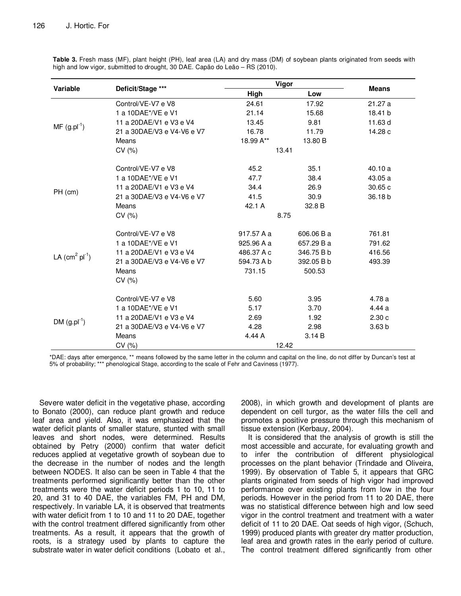|                  | Deficit/Stage ***          | Vigor      |            |                   |
|------------------|----------------------------|------------|------------|-------------------|
| Variable         |                            | High       | Low        | <b>Means</b>      |
| $MF (g.pl-1)$    | Control/VE-V7 e V8         | 24.61      | 17.92      | 21.27 a           |
|                  | 1 a 10DAE*/VE e V1         | 21.14      | 15.68      | 18.41 b           |
|                  | 11 a 20DAE/V1 e V3 e V4    | 13.45      | 9.81       | 11.63 d           |
|                  | 21 a 30DAE/V3 e V4-V6 e V7 | 16.78      | 11.79      | 14.28 c           |
|                  | Means                      | 18.99 A**  | 13.80 B    |                   |
|                  | CV(% )                     | 13.41      |            |                   |
| $PH$ (cm)        | Control/VE-V7 e V8         | 45.2       | 35.1       | 40.10 a           |
|                  | 1 a 10DAE*/VE e V1         | 47.7       | 38.4       | 43.05 a           |
|                  | 11 a 20DAE/V1 e V3 e V4    | 34.4       | 26.9       | 30.65c            |
|                  | 21 a 30DAE/V3 e V4-V6 e V7 | 41.5       | 30.9       | 36.18b            |
|                  | Means                      | 42.1 A     | 32.8 B     |                   |
|                  | CV(% )                     | 8.75       |            |                   |
|                  | Control/VE-V7 e V8         | 917.57 A a | 606.06 B a | 761.81            |
|                  | 1 a 10DAE*/VE e V1         | 925.96 A a | 657.29 B a | 791.62            |
|                  | 11 a 20DAE/V1 e V3 e V4    | 486.37 A c | 346.75 B b | 416.56            |
| LA $(cm2 pl-1)$  | 21 a 30DAE/V3 e V4-V6 e V7 | 594.73 A b | 392.05 B b | 493.39            |
|                  | Means                      | 731.15     | 500.53     |                   |
|                  | CV(%)                      |            |            |                   |
|                  | Control/VE-V7 e V8         | 5.60       | 3.95       | 4.78 a            |
|                  | 1 a 10DAE*/VE e V1         | 5.17       | 3.70       | 4.44 a            |
|                  | 11 a 20DAE/V1 e V3 e V4    | 2.69       | 1.92       | 2.30c             |
| DM $(g.pl^{-1})$ | 21 a 30DAE/V3 e V4-V6 e V7 | 4.28       | 2.98       | 3.63 <sub>b</sub> |
|                  | Means                      | 4.44 A     | 3.14 B     |                   |
|                  | CV(%)                      | 12.42      |            |                   |

Table 3. Fresh mass (MF), plant height (PH), leaf area (LA) and dry mass (DM) of soybean plants originated from seeds with high and low vigor, submitted to drought, 30 DAE. Capão do Leão - RS (2010).

\*DAE: days after emergence, \*\* means followed by the same letter in the column and capital on the line, do not differ by Duncan's test at 5% of probability; \*\*\* phenological Stage, according to the scale of Fehr and Caviness (1977).

Severe water deficit in the vegetative phase, according to Bonato (2000), can reduce plant growth and reduce leaf area and yield. Also, it was emphasized that the water deficit plants of smaller stature, stunted with small leaves and short nodes, were determined. Results obtained by Petry (2000) confirm that water deficit reduces applied at vegetative growth of soybean due to the decrease in the number of nodes and the length between NODES. It also can be seen in Table 4 that the treatments performed significantly better than the other treatments were the water deficit periods 1 to 10, 11 to 20, and 31 to 40 DAE, the variables FM, PH and DM, respectively. In variable LA, it is observed that treatments with water deficit from 1 to 10 and 11 to 20 DAE, together with the control treatment differed significantly from other treatments. As a result, it appears that the growth of roots, is a strategy used by plants to capture the substrate water in water deficit conditions (Lobato et al.,

2008), in which growth and development of plants are dependent on cell turgor, as the water fills the cell and promotes a positive pressure through this mechanism of tissue extension (Kerbauy, 2004).

It is considered that the analysis of growth is still the most accessible and accurate, for evaluating growth and to infer the contribution of different physiological processes on the plant behavior (Trindade and Oliveira, 1999). By observation of Table 5, it appears that GRC plants originated from seeds of high vigor had improved performance over existing plants from low in the four periods. However in the period from 11 to 20 DAE, there was no statistical difference between high and low seed vigor in the control treatment and treatment with a water deficit of 11 to 20 DAE. Oat seeds of high vigor, (Schuch, 1999) produced plants with greater dry matter production, leaf area and growth rates in the early period of culture. The control treatment differed significantly from other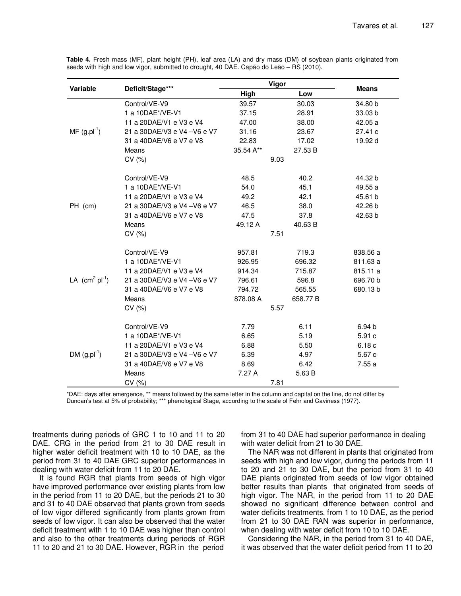|                     | Deficit/Stage***             | Vigor     |          |                    |
|---------------------|------------------------------|-----------|----------|--------------------|
| Variable            |                              | High      | Low      | <b>Means</b>       |
| $MF (g.pl^{-1})$    | Control/VE-V9                | 39.57     | 30.03    | 34.80 b            |
|                     | 1 a 10DAE*/VE-V1             | 37.15     | 28.91    | 33.03 <sub>b</sub> |
|                     | 11 a 20DAE/V1 e V3 e V4      | 47.00     | 38.00    | 42.05 a            |
|                     | 21 a 30DAE/V3 e V4 - V6 e V7 | 31.16     | 23.67    | 27.41 c            |
|                     | 31 a 40DAE/V6 e V7 e V8      | 22.83     | 17.02    | 19.92 d            |
|                     | Means                        | 35.54 A** | 27.53 B  |                    |
|                     | CV(%)                        |           | 9.03     |                    |
|                     | Control/VE-V9                | 48.5      | 40.2     | 44.32 b            |
|                     | 1 a 10DAE*/VE-V1             | 54.0      | 45.1     | 49.55 a            |
|                     | 11 a 20DAE/V1 e V3 e V4      | 49.2      | 42.1     | 45.61 b            |
| PH (cm)             | 21 a 30DAE/V3 e V4 - V6 e V7 | 46.5      | 38.0     | 42.26 b            |
|                     | 31 a 40DAE/V6 e V7 e V8      | 47.5      | 37.8     | 42.63 b            |
|                     | Means                        | 49.12 A   | 40.63 B  |                    |
|                     | CV(%)                        |           | 7.51     |                    |
|                     | Control/VE-V9                | 957.81    | 719.3    | 838.56 a           |
|                     | 1 a 10DAE*/VE-V1             | 926.95    | 696.32   | 811.63 a           |
|                     | 11 a 20DAE/V1 e V3 e V4      | 914.34    | 715.87   | 815.11 a           |
| LA $(cm^2 pl^{-1})$ | 21 a 30DAE/V3 e V4 - V6 e V7 | 796.61    | 596.8    | 696.70 b           |
|                     | 31 a 40DAE/V6 e V7 e V8      | 794.72    | 565.55   | 680.13 b           |
|                     | Means                        | 878.08 A  | 658.77 B |                    |
|                     | CV(%)                        |           | 5.57     |                    |
|                     | Control/VE-V9                | 7.79      | 6.11     | 6.94 <sub>b</sub>  |
|                     | 1 a 10DAE*/VE-V1             | 6.65      | 5.19     | 5.91 c             |
|                     | 11 a 20DAE/V1 e V3 e V4      | 6.88      | 5.50     | 6.18c              |
| DM $(g.pl^{-1})$    | 21 a 30DAE/V3 e V4 - V6 e V7 | 6.39      | 4.97     | 5.67c              |
|                     | 31 a 40DAE/V6 e V7 e V8      | 8.69      | 6.42     | 7.55a              |
|                     | Means                        | 7.27 A    | 5.63 B   |                    |
|                     | CV(%)                        |           | 7.81     |                    |

Table 4. Fresh mass (MF), plant height (PH), leaf area (LA) and dry mass (DM) of soybean plants originated from seeds with high and low vigor, submitted to drought, 40 DAE. Capão do Leão - RS (2010).

\*DAE: days after emergence, \*\* means followed by the same letter in the column and capital on the line, do not differ by Duncan's test at 5% of probability; \*\*\* phenological Stage, according to the scale of Fehr and Caviness (1977).

treatments during periods of GRC 1 to 10 and 11 to 20 DAE. CRG in the period from 21 to 30 DAE result in higher water deficit treatment with 10 to 10 DAE, as the period from 31 to 40 DAE GRC superior performances in dealing with water deficit from 11 to 20 DAE.

It is found RGR that plants from seeds of high vigor have improved performance over existing plants from low in the period from 11 to 20 DAE, but the periods 21 to 30 and 31 to 40 DAE observed that plants grown from seeds of low vigor differed significantly from plants grown from seeds of low vigor. It can also be observed that the water deficit treatment with 1 to 10 DAE was higher than control and also to the other treatments during periods of RGR 11 to 20 and 21 to 30 DAE. However, RGR in the period

from 31 to 40 DAE had superior performance in dealing with water deficit from 21 to 30 DAE.

The NAR was not different in plants that originated from seeds with high and low vigor, during the periods from 11 to 20 and 21 to 30 DAE, but the period from 31 to 40 DAE plants originated from seeds of low vigor obtained better results than plants that originated from seeds of high vigor. The NAR, in the period from 11 to 20 DAE showed no significant difference between control and water deficits treatments, from 1 to 10 DAE, as the period from 21 to 30 DAE RAN was superior in performance, when dealing with water deficit from 10 to 10 DAE.

Considering the NAR, in the period from 31 to 40 DAE, it was observed that the water deficit period from 11 to 20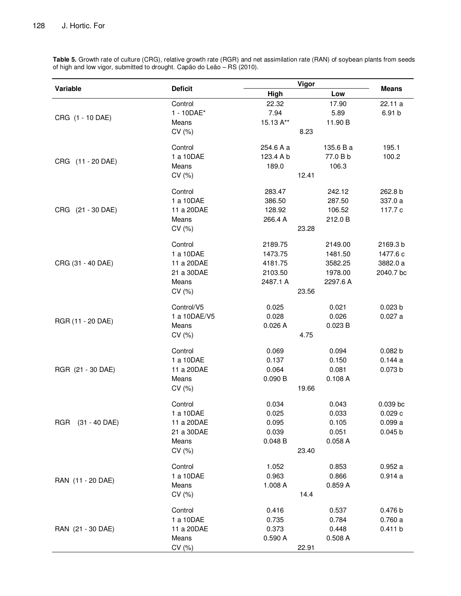**Variable Deficit Vigor Means High Low**  CRG (1 - 10 DAE) Control 22.32 17.90 22.11 a 1 - 10DAE\* 7.94 5.89 6.91 b Means 15.13 A\*\* 11.90 B  $CV(%)$  8.23 CRG (11 - 20 DAE) Control 254.6 A a 135.6 B a 195.1 1 a 10DAE 123.4 A b 77.0 B b 100.2 Means 189.0 106.3 CV (%) 12.41 CRG (21 - 30 DAE) Control 283.47 242.12 262.8 b 1 a 10DAE 386.50 287.50 337.0 a 11 a 20DAE 128.92 106.52 117.7 c Means 266.4 A 212.0 B CV (%) 23.28 CRG (31 - 40 DAE) Control 2189.75 2149.00 2169.3 b 1 a 10DAE 1473.75 1481.50 1477.6 c 11 a 20DAE 4181.75 3582.25 3882.0 a 21 a 30DAE 2103.50 1978.00 2040.7 bc Means 2487.1 A 2297.6 A CV (%) 23.56 RGR (11 - 20 DAE) Control/V5 0.025 0.021 0.023 b 1 a 10DAE/V5 0.028 0.026 0.027 a Means 0.026 A 0.023 B CV (%) 4.75 RGR (21 - 30 DAE) Control 0.069 0.094 0.082 b 1 a 10DAE 0.137 0.150 0.144 a 11 a 20DAE 0.064 0.081 0.073 b Means 0.090 B 0.108 A CV (%) 19.66 RGR (31 - 40 DAE) Control 0.034 0.043 0.039 bc 1 a 10DAE 0.025 0.033 0.029 c 11 a 20DAE 0.095 0.105 0.099 a 21 a 30DAE 0.039 0.051 0.045 b Means 0.048 B 0.058 A CV (%) 23.40 RAN (11 - 20 DAE) Control 1.052 0.853 0.952 a 1 a 10DAE 0.963 0.866 0.914 a Means 1.008 A 0.859 A  $CV(%)$  14.4 RAN (21 - 30 DAE) Control 0.416 0.537 0.476 b 1 a 10DAE 0.735 0.784 0.760 a 11 a 20DAE 0.373 0.448 0.411 b Means 0.590 A 0.508 A CV (%) 22.91

**Table 5.** Growth rate of culture (CRG), relative growth rate (RGR) and net assimilation rate (RAN) of soybean plants from seeds of high and low vigor, submitted to drought. Capão do Leão – RS (2010).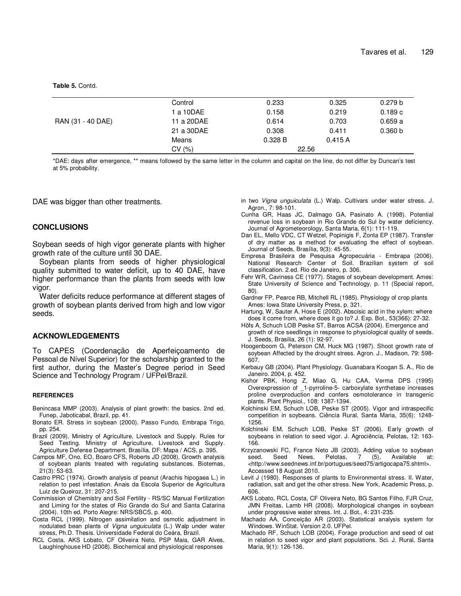**Table 5.** Contd.

|                   | Control    | 0.233   | 0.325  | 0.279 b |
|-------------------|------------|---------|--------|---------|
|                   | 1 a 10DAE  | 0.158   | 0.219  | 0.189c  |
| RAN (31 - 40 DAE) | 11 a 20DAE | 0.614   | 0.703  | 0.659a  |
|                   | 21 a 30DAE | 0.308   | 0.411  | 0.360 b |
|                   | Means      | 0.328 B | 0.415A |         |
|                   | CV(%)      | 22.56   |        |         |
|                   |            |         |        |         |

\*DAE: days after emergence, \*\* means followed by the same letter in the column and capital on the line, do not differ by Duncan's test at 5% probability.

DAE was bigger than other treatments.

## **CONCLUSIONS**

Soybean seeds of high vigor generate plants with higher growth rate of the culture until 30 DAE.

Soybean plants from seeds of higher physiological quality submitted to water deficit, up to 40 DAE, have higher performance than the plants from seeds with low vigor.

Water deficits reduce performance at different stages of growth of soybean plants derived from high and low vigor seeds.

## **ACKNOWLEDGEMENTS**

To CAPES (Coordenação de Aperfeiçoamento de Pessoal de Nível Superior) for the scholarship granted to the first author, during the Master's Degree period in Seed Science and Technology Program / UFPel/Brazil.

#### **REFERENCES**

- Benincasa MMP (2003). Analysis of plant growth: the basics. 2nd ed. Funep, Jaboticabal, Brazil, pp. 41.
- Bonato ER. Stress in soybean (2000). Passo Fundo, Embrapa Trigo, pp. 254.
- Brazil (2009). Ministry of Agriculture, Livestock and Supply. Rules for Seed Testing. Ministry of Agriculture, Livestock and Supply. Agriculture Defense Department. Brasília, DF: Mapa / ACS, p. 395.
- Campos MF, Ono, EO, Boaro CFS, Roberts JD (2008). Growth analysis of soybean plants treated with regulating substances. Biotemas, 21(3): 53-63.
- Castro PRC (1974). Growth analysis of peanut (Arachis hipogaea L.) in relation to pest infestation. Anais da Escola Superior de Agricultura Luiz de Queiroz, 31: 207-215.
- Commission of Chemistry and Soil Fertility RS/SC Manual Fertilization and Liming for the states of Rio Grande do Sul and Santa Catarina (2004). 10th ed. Porto Alegre: NRS/SBCS, p. 400.
- Costa RCL (1999). Nitrogen assimilation and osmotic adjustment in nodulated bean plants of Vigna unguiculata (L.) Walp under water stress, Ph.D. Thesis. Universidade Federal do Ceára, Brazil.
- RCL Costa, AKS Lobato, CF Oliveira Neto, PSP Maia, GAR Alves, Laughinghouse HD (2008). Biochemical and physiological responses
- in two Vigna unguiculata (L.) Walp. Cultivars under water stress. J. Agron., 7: 98-101.
- Cunha GR, Haas JC, Dalmago GA, Pasinato A. (1998). Potential revenue loss in soybean in Rio Grande do Sul by water deficiency. Journal of Agrometeorology, Santa Maria, 6(1): 111-119.
- Dan EL, Mello VDC, CT Wetzel, Popinigis F, Zonta EP (1987). Transfer of dry matter as a method for evaluating the effect of soybean. Journal of Seeds, Brasília, 9(3): 45-55.
- Empresa Brasileira de Pesquisa Agropecuária Embrapa (2006). National Research Center of Soil. Brazilian system of soil classification. 2.ed. Rio de Janeiro, p. 306.
- Fehr WR, Caviness CE (1977). Stages of soybean development. Ames: State University of Science and Technology, p. 11 (Special report, 80).
- Gardner FP, Pearce RB, Mitchell RL (1985). Physiology of crop plants Ames: Iowa State University Press, p. 321.
- Hartung, W, Sauter A, Hose E (2002). Abscisic acid in the xylem: where does it come from, where does it go to? J. Exp. Bot., 53(366): 27-32.
- Höfs A, Schuch LOB Peske ST, Barros ACSA (2004). Emergence and growth of rice seedlings in response to physiological quality of seeds. J. Seeds, Brasilia, 26 (1): 92-97.
- Hoogenboom G, Peterson CM, Huck MG (1987). Shoot growth rate of soybean Affected by the drought stress. Agron. J., Madison, 79: 598- 607.
- Kerbauy GB (2004). Plant Physiology. Guanabara Koogan S. A., Rio de Janeiro. 2004, p. 452.
- Kishor PBK, Hong Z, Miao G, Hu CAA, Verma DPS (1995) Overexpression of \_1-pyrroline-5- carboxylate synthetase increases proline overproduction and confers osmotolerance in transgenic plants. Plant Physiol., 108: 1387-1394.
- Kolchinski EM, Schuch LOB, Peske ST (2005). Vigor and intraspecific competition in soybeans. Ciência Rural, Santa Maria, 35(6): 1248- 1256.
- Kolchinski EM, Schuch LOB, Peske ST (2006). Early growth of soybeans in relation to seed vigor. J. Agrociência, Pelotas, 12: 163- 166.
- Krzyzanowski FC, France Neto JB (2003). Adding value to soybean seed. Seed News, Pelotas, 7 (5), Available at: <http://www.seednews.inf.br/portugues/seed75/artigocapa75.shtml>. Accessed 18 August 2010.
- Levit J (1980). Responses of plants to Environmental stress. II. Water, radiation, salt and get the other stress. New York, Academic Press, p. 606.
- AKS Lobato, RCL Costa, CF Oliveira Neto, BG Santos Filho, FJR Cruz, JMN Freitas, Lamb HR (2008). Morphological changes in soybean under progressive water stress. Int. J. Bot., 4: 231-235.
- Machado AA, Conceição AR (2003). Statistical analysis system for Windows. WinStat. Version 2.0. UFPel.
- Machado RF, Schuch LOB (2004). Forage production and seed of oat in relation to seed vigor and plant populations. Sci. J. Rural, Santa Maria, 9(1): 126-136.